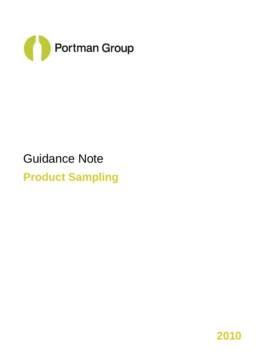

# Guidance Note **Product Sampling**

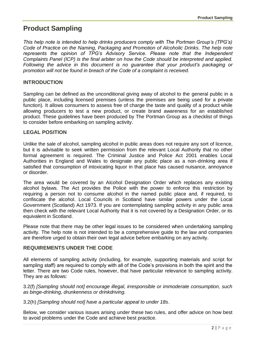# **Product Sampling**

*This help note is intended to help drinks producers comply with The Portman Group's (TPG's) Code of Practice on the Naming, Packaging and Promotion of Alcoholic Drinks. The help note represents the opinion of TPG's Advisory Service. Please note that the Independent Complaints Panel (ICP) is the final arbiter on how the Code should be interpreted and applied. Following the advice in this document is no guarantee that your product's packaging or promotion will not be found in breach of the Code of a complaint is received.*

## **INTRODUCTION**

Sampling can be defined as the unconditional giving away of alcohol to the general public in a public place, including licensed premises (unless the premises are being used for a private function). It allows consumers to assess free of charge the taste and quality of a product while allowing producers to test a new product, or create brand awareness for an established product. These guidelines have been produced by The Portman Group as a checklist of things to consider before embarking on sampling activity.

### **LEGAL POSITION**

Unlike the sale of alcohol, sampling alcohol in public areas does not require any sort of licence, but it is advisable to seek written permission from the relevant Local Authority that no other formal agreement is required. The Criminal Justice and Police Act 2001 enables Local Authorities in England and Wales to designate any public place as a non-drinking area if satisfied that consumption of intoxicating liquor in that place has caused nuisance, annoyance or disorder.

The area would be covered by an Alcohol Designation Order which replaces any existing alcohol bylaws. The Act provides the Police with the power to enforce this restriction by requiring a person not to consume alcohol in the named public place and, if required, to confiscate the alcohol. Local Councils in Scotland have similar powers under the Local Government (Scotland) Act 1973. If you are contemplating sampling activity in any public area then check with the relevant Local Authority that it is not covered by a Designation Order, or its equivalent in Scotland.

Please note that there may be other legal issues to be considered when undertaking sampling activity. The help note is not intended to be a comprehensive guide to the law and companies are therefore urged to obtain their own legal advice before embarking on any activity.

### **REQUIREMENTS UNDER THE CODE**

All elements of sampling activity (including, for example, supporting materials and script for sampling staff) are required to comply with all of the Code's provisions in both the spirit and the letter. There are two Code rules, however, that have particular relevance to sampling activity. They are as follows:

3.2(f) *[Sampling should not] encourage illegal, irresponsible or immoderate consumption, such as binge-drinking, drunkenness or drinkdriving.*

3.2(h) *[Sampling should not] have a particular appeal to under 18s*.

Below, we consider various issues arising under these two rules, and offer advice on how best to avoid problems under the Code and achieve best practice.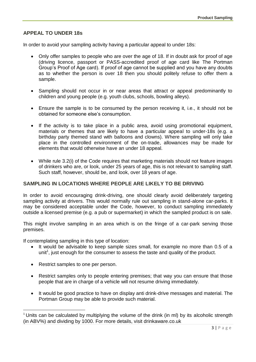## **APPEAL TO UNDER 18s**

In order to avoid your sampling activity having a particular appeal to under 18s:

- Only offer samples to people who are over the age of 18. If in doubt ask for proof of age (driving licence, passport or PASS-accredited proof of age card like The Portman Group's Proof of Age card). If proof of age cannot be supplied and you have any doubts as to whether the person is over 18 then you should politely refuse to offer them a sample.
- Sampling should not occur in or near areas that attract or appeal predominantly to children and young people (e.g. youth clubs, schools, bowling alleys).
- Ensure the sample is to be consumed by the person receiving it, i.e., it should not be obtained for someone else's consumption.
- If the activity is to take place in a public area, avoid using promotional equipment, materials or themes that are likely to have a particular appeal to under-18s (e.g. a birthday party themed stand with balloons and clowns). Where sampling will only take place in the controlled environment of the on-trade, allowances may be made for elements that would otherwise have an under 18 appeal.
- While rule 3.2(i) of the Code requires that marketing materials should not feature images of drinkers who are, or look, under 25 years of age, this is not relevant to sampling staff. Such staff, however, should be, and look, over 18 years of age.

#### **SAMPLING IN LOCATIONS WHERE PEOPLE ARE LIKELY TO BE DRIVING**

In order to avoid encouraging drink-driving, one should clearly avoid deliberately targeting sampling activity at drivers. This would normally rule out sampling in stand-alone car-parks. It may be considered acceptable under the Code, however, to conduct sampling immediately outside a licensed premise (e.g. a pub or supermarket) in which the sampled product is on sale.

This might involve sampling in an area which is on the fringe of a car-park serving those premises.

If contemplating sampling in this type of location:

- It would be advisable to keep sample sizes small, for example no more than 0.5 of a unit<sup>1</sup>, just enough for the consumer to assess the taste and quality of the product.
- Restrict samples to one per person.

 $\overline{\phantom{a}}$ 

- Restrict samples only to people entering premises; that way you can ensure that those people that are in charge of a vehicle will not resume driving immediately.
- It would be good practice to have on display anti drink-drive messages and material. The Portman Group may be able to provide such material.

 $1$  Units can be calculated by multiplying the volume of the drink (in ml) by its alcoholic strength (in ABV%) and dividing by 1000. For more details, visit drinkaware.co.uk